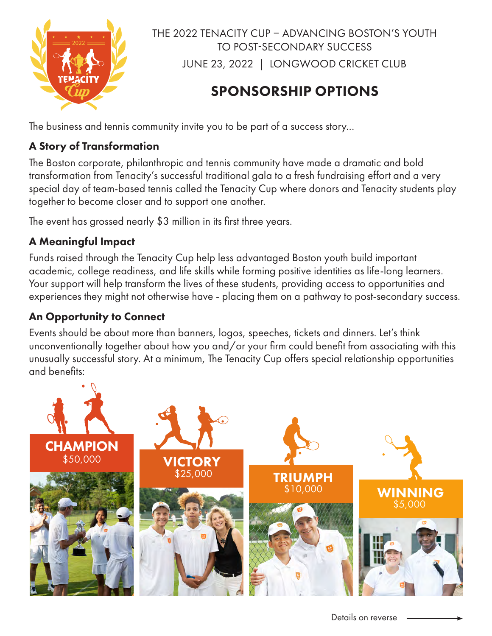

THE 2022 TENACITY CUP – ADVANCING BOSTON'S YOUTH TO POST-SECONDARY SUCCESS JUNE 23, 2022 | LONGWOOD CRICKET CLUB

# SPONSORSHIP OPTIONS

The business and tennis community invite you to be part of a success story…

## A Story of Transformation

The Boston corporate, philanthropic and tennis community have made a dramatic and bold transformation from Tenacity's successful traditional gala to a fresh fundraising effort and a very special day of team-based tennis called the Tenacity Cup where donors and Tenacity students play together to become closer and to support one another.

The event has grossed nearly \$3 million in its first three years.

# A Meaningful Impact

Funds raised through the Tenacity Cup help less advantaged Boston youth build important academic, college readiness, and life skills while forming positive identities as life-long learners. Your support will help transform the lives of these students, providing access to opportunities and experiences they might not otherwise have - placing them on a pathway to post-secondary success.

# An Opportunity to Connect

Events should be about more than banners, logos, speeches, tickets and dinners. Let's think unconventionally together about how you and/or your firm could benefit from associating with this unusually successful story. At a minimum, The Tenacity Cup offers special relationship opportunities and benefits: